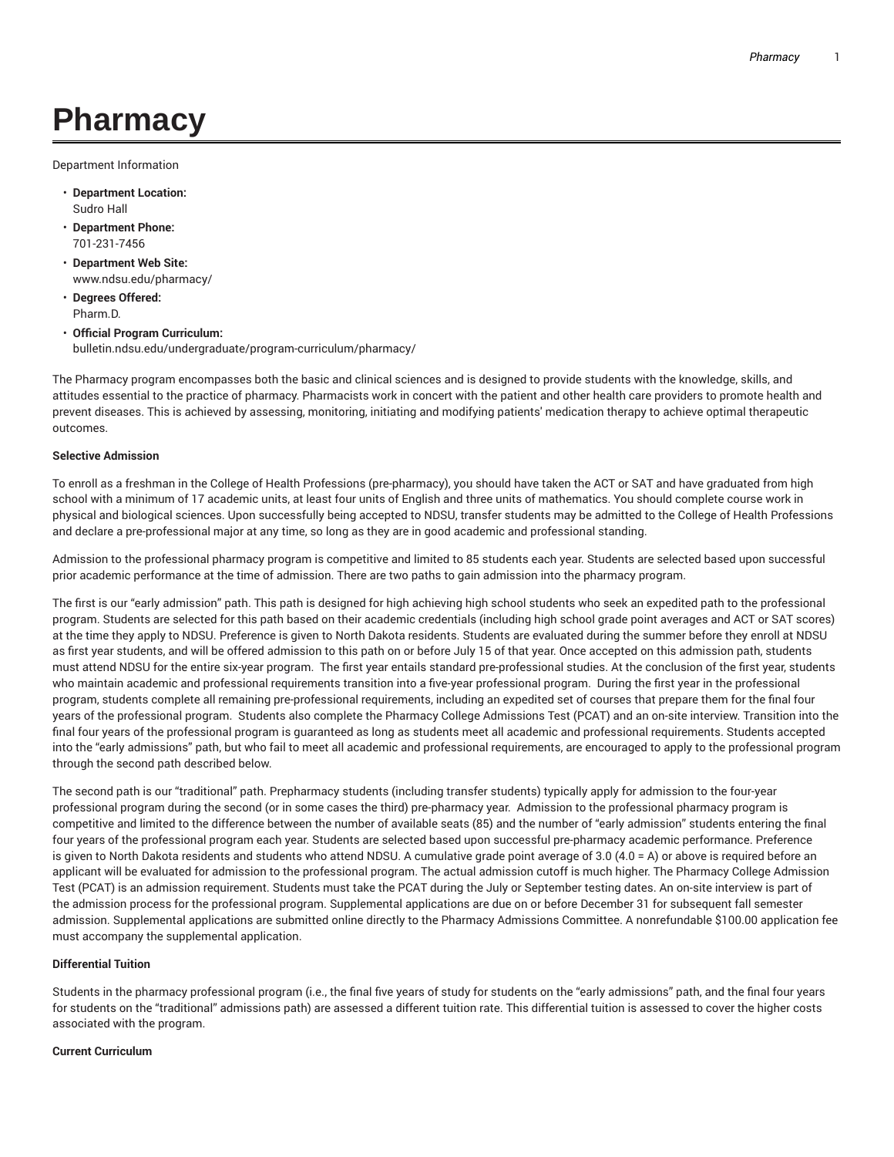# **Pharmacy**

Department Information

- **Department Location:** Sudro Hall
- **Department Phone:** 701-231-7456
- **Department Web Site:** www.ndsu.edu/pharmacy/
- **Degrees Offered:** Pharm.D.
- **Official Program Curriculum:** bulletin.ndsu.edu/undergraduate/program-curriculum/pharmacy/

The Pharmacy program encompasses both the basic and clinical sciences and is designed to provide students with the knowledge, skills, and attitudes essential to the practice of pharmacy. Pharmacists work in concert with the patient and other health care providers to promote health and prevent diseases. This is achieved by assessing, monitoring, initiating and modifying patients' medication therapy to achieve optimal therapeutic outcomes.

## **Selective Admission**

To enroll as a freshman in the College of Health Professions (pre-pharmacy), you should have taken the ACT or SAT and have graduated from high school with a minimum of 17 academic units, at least four units of English and three units of mathematics. You should complete course work in physical and biological sciences. Upon successfully being accepted to NDSU, transfer students may be admitted to the College of Health Professions and declare a pre-professional major at any time, so long as they are in good academic and professional standing.

Admission to the professional pharmacy program is competitive and limited to 85 students each year. Students are selected based upon successful prior academic performance at the time of admission. There are two paths to gain admission into the pharmacy program.

The first is our "early admission" path. This path is designed for high achieving high school students who seek an expedited path to the professional program. Students are selected for this path based on their academic credentials (including high school grade point averages and ACT or SAT scores) at the time they apply to NDSU. Preference is given to North Dakota residents. Students are evaluated during the summer before they enroll at NDSU as first year students, and will be offered admission to this path on or before July 15 of that year. Once accepted on this admission path, students must attend NDSU for the entire six-year program. The first year entails standard pre-professional studies. At the conclusion of the first year, students who maintain academic and professional requirements transition into a five-year professional program. During the first year in the professional program, students complete all remaining pre-professional requirements, including an expedited set of courses that prepare them for the final four years of the professional program. Students also complete the Pharmacy College Admissions Test (PCAT) and an on-site interview. Transition into the final four years of the professional program is guaranteed as long as students meet all academic and professional requirements. Students accepted into the "early admissions" path, but who fail to meet all academic and professional requirements, are encouraged to apply to the professional program through the second path described below.

The second path is our "traditional" path. Prepharmacy students (including transfer students) typically apply for admission to the four-year professional program during the second (or in some cases the third) pre-pharmacy year. Admission to the professional pharmacy program is competitive and limited to the difference between the number of available seats (85) and the number of "early admission" students entering the final four years of the professional program each year. Students are selected based upon successful pre-pharmacy academic performance. Preference is given to North Dakota residents and students who attend NDSU. A cumulative grade point average of 3.0 (4.0 = A) or above is required before an applicant will be evaluated for admission to the professional program. The actual admission cutoff is much higher. The Pharmacy College Admission Test (PCAT) is an admission requirement. Students must take the PCAT during the July or September testing dates. An on-site interview is part of the admission process for the professional program. Supplemental applications are due on or before December 31 for subsequent fall semester admission. Supplemental applications are submitted online directly to the Pharmacy Admissions Committee. A nonrefundable \$100.00 application fee must accompany the supplemental application.

## **Differential Tuition**

Students in the pharmacy professional program (i.e., the final five years of study for students on the "early admissions" path, and the final four years for students on the "traditional" admissions path) are assessed a different tuition rate. This differential tuition is assessed to cover the higher costs associated with the program.

#### **Current Curriculum**